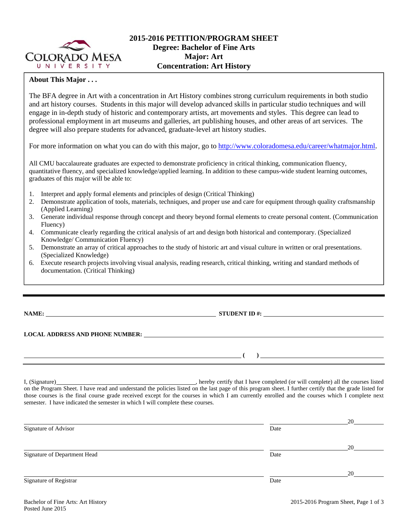

# **About This Major . . .**

The BFA degree in Art with a concentration in Art History combines strong curriculum requirements in both studio and art history courses. Students in this major will develop advanced skills in particular studio techniques and will engage in in-depth study of historic and contemporary artists, art movements and styles. This degree can lead to professional employment in art museums and galleries, art publishing houses, and other areas of art services. The degree will also prepare students for advanced, graduate-level art history studies.

For more information on what you can do with this major, go to http://www.coloradomesa.edu/career/whatmajor.html.

All CMU baccalaureate graduates are expected to demonstrate proficiency in critical thinking, communication fluency, quantitative fluency, and specialized knowledge/applied learning. In addition to these campus-wide student learning outcomes, graduates of this major will be able to:

- 1. Interpret and apply formal elements and principles of design (Critical Thinking)
- 2. Demonstrate application of tools, materials, techniques, and proper use and care for equipment through quality craftsmanship (Applied Learning)
- 3. Generate individual response through concept and theory beyond formal elements to create personal content. (Communication Fluency)
- 4. Communicate clearly regarding the critical analysis of art and design both historical and contemporary. (Specialized Knowledge/ Communication Fluency)
- 5. Demonstrate an array of critical approaches to the study of historic art and visual culture in written or oral presentations. (Specialized Knowledge)
- 6. Execute research projects involving visual analysis, reading research, critical thinking, writing and standard methods of documentation. (Critical Thinking)

**NAME: STUDENT ID #: STUDENT ID #: STUDENT ID #: STUDENT ID #: STUDENT ID #: STUDENT ID #: STUDENT ID #: STUDENT ID #: STUDENT ID #: STUDENT ID #: STUDENT ID #: STUDENT ID #: STUDENT ID #: STUDE** 

## **LOCAL ADDRESS AND PHONE NUMBER:**

I, (Signature) , hereby certify that I have completed (or will complete) all the courses listed on the Program Sheet. I have read and understand the policies listed on the last page of this program sheet. I further certify that the grade listed for those courses is the final course grade received except for the courses in which I am currently enrolled and the courses which I complete next semester. I have indicated the semester in which I will complete these courses.

|                              |      | 20 |
|------------------------------|------|----|
| Signature of Advisor         | Date |    |
|                              |      | 20 |
| Signature of Department Head | Date |    |
|                              |      | 20 |
| Signature of Registrar       | Date |    |

 **( )**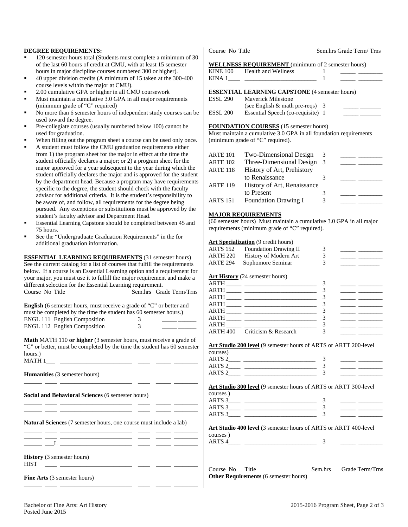#### **DEGREE REQUIREMENTS:**

- 120 semester hours total (Students must complete a minimum of 30 of the last 60 hours of credit at CMU, with at least 15 semester hours in major discipline courses numbered 300 or higher).
- 40 upper division credits (A minimum of 15 taken at the 300-400 course levels within the major at CMU).
- 2.00 cumulative GPA or higher in all CMU coursework
- Must maintain a cumulative 3.0 GPA in all major requirements (minimum grade of "C" required)
- No more than 6 semester hours of independent study courses can be used toward the degree.
- Pre-collegiate courses (usually numbered below 100) cannot be used for graduation.
- When filling out the program sheet a course can be used only once.
- A student must follow the CMU graduation requirements either from 1) the program sheet for the major in effect at the time the student officially declares a major; or 2) a program sheet for the major approved for a year subsequent to the year during which the student officially declares the major and is approved for the student by the department head. Because a program may have requirements specific to the degree, the student should check with the faculty advisor for additional criteria. It is the student's responsibility to be aware of, and follow, all requirements for the degree being pursued. Any exceptions or substitutions must be approved by the student's faculty advisor and Department Head.
- Essential Learning Capstone should be completed between 45 and 75 hours.
- See the "Undergraduate Graduation Requirements" in the for additional graduation information.

**ESSENTIAL LEARNING REQUIREMENTS** (31 semester hours) See the current catalog for a list of courses that fulfill the requirements below. If a course is an Essential Learning option and a requirement for your major, you must use it to fulfill the major requirement and make a different selection for the Essential Learning requirement. Course No Title Sem.hrs Grade Term/Trns

**English** (6 semester hours, must receive a grade of "C" or better and must be completed by the time the student has 60 semester hours.) ENGL 111 English Composition 3 \_\_\_\_\_ \_\_\_\_\_\_ ENGL 112 English Composition 3

**Math** MATH 110 **or higher** (3 semester hours, must receive a grade of "C" or better, must be completed by the time the student has 60 semester hours.)  $MATH 1$ <sub>\_\_\_\_</sub> \_\_

\_\_\_\_\_\_ \_\_\_\_ \_\_\_\_\_\_\_\_\_\_\_\_\_\_\_\_\_\_\_\_\_\_\_\_ \_\_\_\_ \_\_\_\_\_ \_\_\_\_\_\_\_\_

\_\_\_\_\_\_ \_\_\_\_ \_\_\_\_\_\_\_\_\_\_\_\_\_\_\_\_\_\_\_\_\_\_\_\_ \_\_\_\_ \_\_\_\_\_ \_\_\_\_\_\_\_\_

\_\_\_\_\_\_ \_\_\_\_ \_\_\_\_\_\_\_\_\_\_\_\_\_\_\_\_\_\_\_\_\_\_\_\_ \_\_\_\_ \_\_\_\_\_ \_\_\_\_\_\_\_\_ \_\_\_\_\_\_ \_\_\_\_ \_\_\_\_\_\_\_\_\_\_\_\_\_\_\_\_\_\_\_\_\_\_\_\_ \_\_\_\_ \_\_\_\_\_ \_\_\_\_\_\_\_\_

\_\_\_\_\_\_ \_\_\_\_ \_\_\_\_\_\_\_\_\_\_\_\_\_\_\_\_\_\_\_\_\_\_\_\_ \_\_\_\_ \_\_\_\_\_ \_\_\_\_\_\_\_\_

**Humanities** (3 semester hours)

**Social and Behavioral Sciences** (6 semester hours)

\_\_\_\_\_\_ \_\_\_\_ \_\_\_\_\_\_\_\_\_\_\_\_\_\_\_\_\_\_\_\_\_\_\_\_ \_\_\_\_ \_\_\_\_\_ \_\_\_\_\_\_\_\_ **Natural Sciences** (7 semester hours, one course must include a lab)

 $\_$   $\_$   $\_$   $\_$ 

**History** (3 semester hours) HIST \_\_\_\_ \_\_\_\_\_\_\_\_\_\_\_\_\_\_\_\_\_\_\_\_\_\_\_\_ \_\_\_\_ \_\_\_\_\_ \_\_\_\_\_\_\_\_

**Fine Arts** (3 semester hours)

Course No Title Sem.hrs Grade Term/ Trns

|           |                                                                                     | <b>WELLNESS REQUIREMENT</b> (minimum of 2 semester hours) |
|-----------|-------------------------------------------------------------------------------------|-----------------------------------------------------------|
| IZIME 100 | $\mathbf{H} = \mathbf{H}$ . The set of $\mathbf{H}$ is $\mathbf{H}$ in $\mathbf{H}$ |                                                           |

| <b>KINE 100</b> | Health and Wellness                                   |  |  |
|-----------------|-------------------------------------------------------|--|--|
| KINA 1          |                                                       |  |  |
|                 |                                                       |  |  |
|                 | <b>ESSENTIAL LEARNING CAPSTONE</b> (4 semester hours) |  |  |

| <b>ESSL 290</b> | <b>Maverick Milestone</b>          |  |
|-----------------|------------------------------------|--|
|                 | (see English $\&$ math pre-reqs) 3 |  |
| <b>ESSL 200</b> | Essential Speech (co-requisite) 1  |  |

## **FOUNDATION COURSES** (15 semester hours)

Must maintain a cumulative 3.0 GPA in all foundation requirements (minimum grade of "C" required).

| <b>ARTE 101</b> | Two-Dimensional Design      | 3  |  |
|-----------------|-----------------------------|----|--|
| <b>ARTE 102</b> | Three-Dimensional Design    | -3 |  |
| <b>ARTE 118</b> | History of Art, Prehistory  |    |  |
|                 | to Renaissance              |    |  |
| <b>ARTE 119</b> | History of Art, Renaissance |    |  |
|                 | to Present                  |    |  |
| <b>ARTS</b> 151 | <b>Foundation Drawing I</b> | 3  |  |
|                 |                             |    |  |

## **MAJOR REQUIREMENTS**

(60 semester hours) Must maintain a cumulative 3.0 GPA in all major requirements (minimum grade of "C" required).

#### Art Specialization (9 credit hours)

| ARTS 152 | <b>Foundation Drawing II</b> | 3 |  |
|----------|------------------------------|---|--|
| ARTH 220 | History of Modern Art        | 3 |  |
| ARTE 294 | Sophomore Seminar            |   |  |
|          |                              |   |  |

## **Art History** (24 semester hours)

|                                                                                                                                                                                                                                                                                                                                                                                             | <u> 1989 - Jan James James Barnett, amerikansk politiker (</u> |
|---------------------------------------------------------------------------------------------------------------------------------------------------------------------------------------------------------------------------------------------------------------------------------------------------------------------------------------------------------------------------------------------|----------------------------------------------------------------|
|                                                                                                                                                                                                                                                                                                                                                                                             |                                                                |
|                                                                                                                                                                                                                                                                                                                                                                                             |                                                                |
|                                                                                                                                                                                                                                                                                                                                                                                             |                                                                |
| $\begin{picture}(150,10) \put(0,0){\dashbox{0.5}(10,0){ }} \put(15,0){\circle{10}} \put(15,0){\circle{10}} \put(15,0){\circle{10}} \put(15,0){\circle{10}} \put(15,0){\circle{10}} \put(15,0){\circle{10}} \put(15,0){\circle{10}} \put(15,0){\circle{10}} \put(15,0){\circle{10}} \put(15,0){\circle{10}} \put(15,0){\circle{10}} \put(15,0){\circle{10}} \put(15,0){\circle{10}} \put(15$ |                                                                |
|                                                                                                                                                                                                                                                                                                                                                                                             |                                                                |
|                                                                                                                                                                                                                                                                                                                                                                                             |                                                                |
| ARTH 400 Criticism & Research                                                                                                                                                                                                                                                                                                                                                               |                                                                |

**Art Studio 200 level** (9 semester hours of ARTS or ARTT 200-level courses)

#### **Art Studio 300 level** (9 semester hours of ARTS or ARTT 300-level

| courses        |  |  |
|----------------|--|--|
| ARTS ?         |  |  |
| ARTS ?         |  |  |
| ARTS $\degree$ |  |  |

#### **Art Studio 400 level** (3 semester hours of ARTS or ARTT 400-level

courses ) ARTS 4\_\_\_\_ \_\_\_\_\_\_\_\_\_\_\_\_\_\_\_\_\_\_\_\_\_\_\_\_ 3 \_\_\_\_\_ \_\_\_\_\_\_\_\_

| ۰. |  |
|----|--|

| Course No<br>Title                           | Sem.hrs | Grade Term/Trns |
|----------------------------------------------|---------|-----------------|
| <b>Other Requirements</b> (6 semester hours) |         |                 |